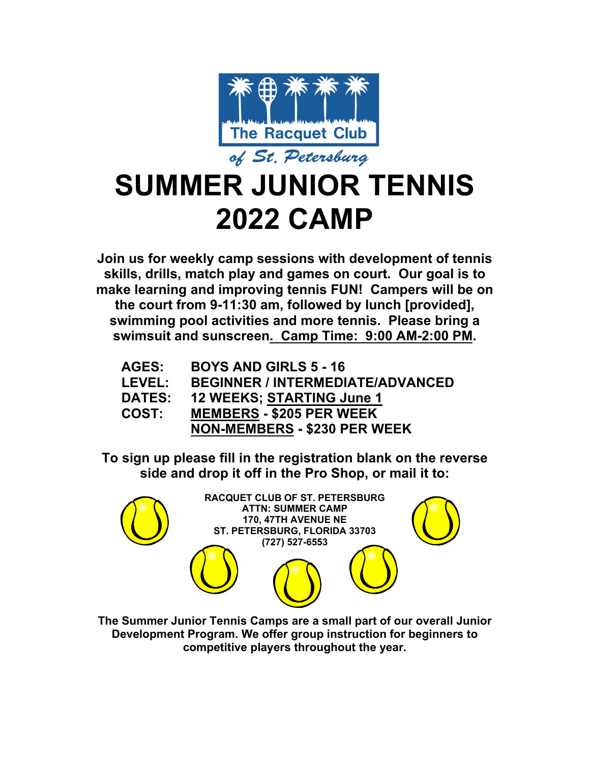

# **SUMMER JUNIOR TENNIS 2022 CAMP**

**Join us for weekly camp sessions with development of tennis skills, drills, match play and games on court. Our goal is to make learning and improving tennis FUN! Campers will be on the court from 9-11:30 am, followed by lunch [provided], swimming pool activities and more tennis. Please bring a swimsuit and sunscreen. Camp Time: 9:00 AM-2:00 PM.**

| <b>AGES:</b>  | <b>BOYS AND GIRLS 5 - 16</b>            |
|---------------|-----------------------------------------|
| <b>LEVEL:</b> | <b>BEGINNER / INTERMEDIATE/ADVANCED</b> |
| <b>DATES:</b> | <b>12 WEEKS; STARTING June 1</b>        |
| <b>COST:</b>  | <b>MEMBERS - \$205 PER WEEK</b>         |
|               | <b>NON-MEMBERS - \$230 PER WEEK</b>     |

**To sign up please fill in the registration blank on the reverse side and drop it off in the Pro Shop, or mail it to:**



**The Summer Junior Tennis Camps are a small part of our overall Junior Development Program. We offer group instruction for beginners to competitive players throughout the year.**